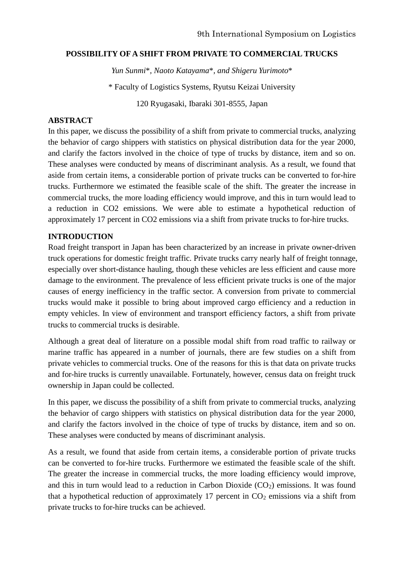### **POSSIBILITY OF A SHIFT FROM PRIVATE TO COMMERCIAL TRUCKS**

*Yun Sunmi*\**, Naoto Katayama*\**, and Shigeru Yurimoto*\*

\* Faculty of Logistics Systems, Ryutsu Keizai University

120 Ryugasaki, Ibaraki 301-8555, Japan

### **ABSTRACT**

In this paper, we discuss the possibility of a shift from private to commercial trucks, analyzing the behavior of cargo shippers with statistics on physical distribution data for the year 2000, and clarify the factors involved in the choice of type of trucks by distance, item and so on. These analyses were conducted by means of discriminant analysis. As a result, we found that aside from certain items, a considerable portion of private trucks can be converted to for-hire trucks. Furthermore we estimated the feasible scale of the shift. The greater the increase in commercial trucks, the more loading efficiency would improve, and this in turn would lead to a reduction in CO2 emissions. We were able to estimate a hypothetical reduction of approximately 17 percent in CO2 emissions via a shift from private trucks to for-hire trucks.

## **INTRODUCTION**

Road freight transport in Japan has been characterized by an increase in private owner-driven truck operations for domestic freight traffic. Private trucks carry nearly half of freight tonnage, especially over short-distance hauling, though these vehicles are less efficient and cause more damage to the environment. The prevalence of less efficient private trucks is one of the major causes of energy inefficiency in the traffic sector. A conversion from private to commercial trucks would make it possible to bring about improved cargo efficiency and a reduction in empty vehicles. In view of environment and transport efficiency factors, a shift from private trucks to commercial trucks is desirable.

Although a great deal of literature on a possible modal shift from road traffic to railway or marine traffic has appeared in a number of journals, there are few studies on a shift from private vehicles to commercial trucks. One of the reasons for this is that data on private trucks and for-hire trucks is currently unavailable. Fortunately, however, census data on freight truck ownership in Japan could be collected.

In this paper, we discuss the possibility of a shift from private to commercial trucks, analyzing the behavior of cargo shippers with statistics on physical distribution data for the year 2000, and clarify the factors involved in the choice of type of trucks by distance, item and so on. These analyses were conducted by means of discriminant analysis.

As a result, we found that aside from certain items, a considerable portion of private trucks can be converted to for-hire trucks. Furthermore we estimated the feasible scale of the shift. The greater the increase in commercial trucks, the more loading efficiency would improve, and this in turn would lead to a reduction in Carbon Dioxide  $(CO<sub>2</sub>)$  emissions. It was found that a hypothetical reduction of approximately 17 percent in  $CO<sub>2</sub>$  emissions via a shift from private trucks to for-hire trucks can be achieved.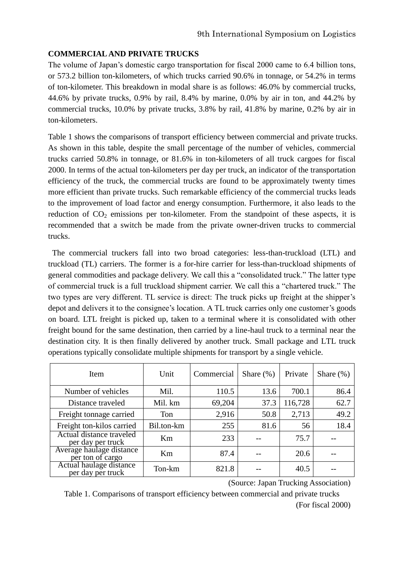## **COMMERCIALAND PRIVATE TRUCKS**

The volume of Japan's domestic cargo transportation for fiscal 2000 came to 6.4 billion tons, or 573.2 billion ton-kilometers, of which trucks carried 90.6% in tonnage, or 54.2% in terms of ton-kilometer. This breakdown in modal share is as follows: 46.0% by commercial trucks, 44.6% by private trucks, 0.9% by rail, 8.4% by marine, 0.0% by air in ton, and 44.2% by commercial trucks, 10.0% by private trucks, 3.8% by rail, 41.8% by marine, 0.2% by air in ton-kilometers.

Table 1 shows the comparisons of transport efficiency between commercial and private trucks. As shown in this table, despite the small percentage of the number of vehicles, commercial trucks carried 50.8% in tonnage, or 81.6% in ton-kilometers of all truck cargoes for fiscal 2000. In terms of the actual ton-kilometers per day per truck, an indicator of the transportation efficiency of the truck, the commercial trucks are found to be approximately twenty times more efficient than private trucks. Such remarkable efficiency of the commercial trucks leads to the improvement of load factor and energy consumption. Furthermore, it also leads to the reduction of  $CO<sub>2</sub>$  emissions per ton-kilometer. From the standpoint of these aspects, it is recommended that a switch be made from the private owner-driven trucks to commercial trucks.

The commercial truckers fall into two broad categories: less-than-truckload (LTL) and truckload (TL) carriers. The former is a for-hire carrier for less-than-truckload shipments of general commodities and package delivery. We call this a "consolidated truck." The latter type of commercial truck is a full truckload shipment carrier. We call this a "chartered truck." The two types are very different. TL service is direct: The truck picks up freight at the shipper's depot and delivers it to the consignee's location. A TL truck carries only one customer's goods on board. LTL freight is picked up, taken to a terminal where it is consolidated with other freight bound for the same destination, then carried by a line-haul truck to a terminal near the destination city. It is then finally delivered by another truck. Small package and LTL truck operations typically consolidate multiple shipments for transport by a single vehicle.

| Item                                          | Unit       | Commercial | Share $(\%)$ | Private | Share $(\%)$ |
|-----------------------------------------------|------------|------------|--------------|---------|--------------|
| Number of vehicles                            | Mil.       | 110.5      | 13.6         | 700.1   | 86.4         |
| Distance traveled                             | Mil. km    | 69,204     | 37.3         | 116,728 | 62.7         |
| Freight tonnage carried                       | Ton        | 2,916      | 50.8         | 2,713   | 49.2         |
| Freight ton-kilos carried                     | Bil.ton-km | 255        | 81.6         | 56      | 18.4         |
| Actual distance traveled<br>per day per truck | Km         | 233        |              | 75.7    |              |
| Average haulage distance<br>per ton of cargo  | Km         | 87.4       |              | 20.6    |              |
| Actual haulage distance<br>per day per truck  | Ton-km     | 821.8      |              | 40.5    |              |

(Source: Japan Trucking Association)

Table 1. Comparisons of transport efficiency between commercial and private trucks (For fiscal 2000)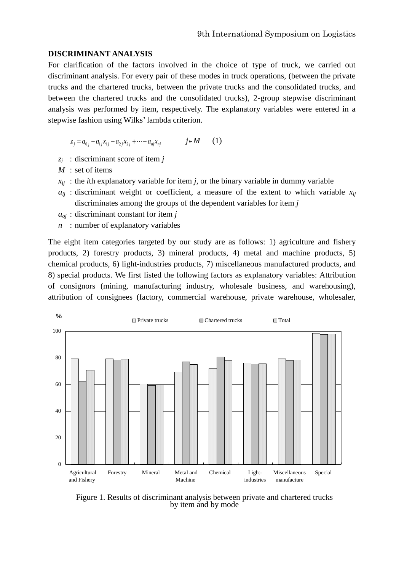#### **DISCRIMINANT ANALYSIS**

For clarification of the factors involved in the choice of type of truck, we carried out discriminant analysis. For every pair of these modes in truck operations, (between the private trucks and the chartered trucks, between the private trucks and the consolidated trucks, and between the chartered trucks and the consolidated trucks), 2-group stepwise discriminant analysis was performed by item, respectively. The explanatory variables were entered in a stepwise fashion using Wilks' lambda criterion.

 $z_i = a_{0i} + a_{1i}x_{1i} + a_{2i}x_{2i} + \cdots + a_{ni}x_{ni}$  *j M* (1)

- *z<sup>j</sup>* : discriminant score of item *j*
- *M* : set of items
- $x_{ij}$ : the *i*th explanatory variable for item *j*, or the binary variable in dummy variable
- $a_{ii}$ : discriminant weight or coefficient, a measure of the extent to which variable  $x_{ii}$ discriminates among the groups of the dependent variables for item *j*
- *aoj* : discriminant constant for item *j*
- *n* : number of explanatory variables

The eight item categories targeted by our study are as follows: 1) agriculture and fishery products, 2) forestry products, 3) mineral products, 4) metal and machine products, 5) chemical products, 6) light-industries products, 7) miscellaneous manufactured products, and 8) special products. We first listed the following factors as explanatory variables: Attribution of consignors (mining, manufacturing industry, wholesale business, and warehousing), attribution of consignees (factory, commercial warehouse, private warehouse, wholesaler,



Figure 1. Results of discriminant analysis between private and chartered trucks by item and by mode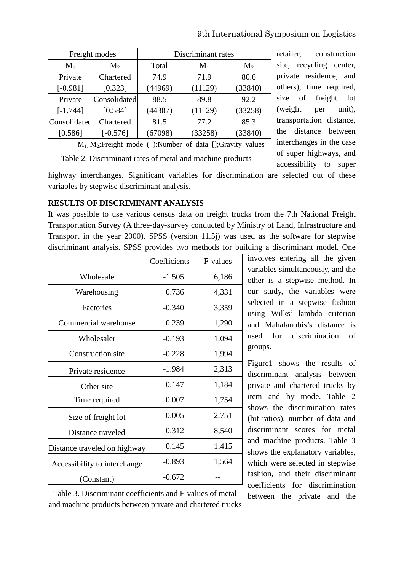9th International Symposium on Logistics

| Freight modes |                | Discriminant rates |         |                |  |
|---------------|----------------|--------------------|---------|----------------|--|
| $M_1$         | M <sub>2</sub> | Total              | $M_1$   | M <sub>2</sub> |  |
| Private       | Chartered      | 74.9               | 71.9    | 80.6           |  |
| $[-0.981]$    | [0.323]        | (44969)            | (11129) | (33840)        |  |
| Private       | Consolidated   | 88.5               | 89.8    | 92.2           |  |
| $[-1.744]$    | [0.584]        | (44387)            | (11129) | (33258)        |  |
| Consolidated  | Chartered      | 81.5               | 77.2    | 85.3           |  |
| [0.586]       | $[-0.576]$     | (67098)            | (33258) | (33840)        |  |

 $M_1$ ,  $M_2$ ; Freight mode ( ); Number of data []; Gravity values Table 2. Discriminant rates of metal and machine products

retailer, construction site, recycling center, private residence, and others), time required, size of freight lot (weight per unit), transportation distance, the distance between interchanges in the case of super highways, and accessibility to super

highway interchanges. Significant variables for discrimination are selected out of these variables by stepwise discriminant analysis.

## **RESULTS OF DISCRIMINANT ANALYSIS**

It was possible to use various census data on freight trucks from the 7th National Freight Transportation Survey (A three-day-survey conducted by Ministry of Land, Infrastructure and Transport in the year 2000). SPSS (version 11.5j) was used as the software for stepwise discriminant analysis. SPSS provides two methods for building a discriminant model. One

|                              | Coefficients | <b>F-values</b> |
|------------------------------|--------------|-----------------|
| Wholesale                    | $-1.505$     | 6,186           |
| Warehousing                  | 0.736        | 4,331           |
| <b>Factories</b>             | $-0.340$     | 3,359           |
| Commercial warehouse         | 0.239        | 1,290           |
| Wholesaler                   | $-0.193$     | 1,094           |
| Construction site            | $-0.228$     | 1,994           |
| Private residence            | $-1.984$     | 2,313           |
| Other site                   | 0.147        | 1,184           |
| Time required                | 0.007        | 1,754           |
| Size of freight lot          | 0.005        | 2,751           |
| Distance traveled            | 0.312        | 8,540           |
| Distance traveled on highway | 0.145        | 1,415           |
| Accessibility to interchange | $-0.893$     | 1,564           |
| (Constant)                   | $-0.672$     |                 |

involves entering all the given variables simultaneously, and the other is a stepwise method. In our study, the variables were selected in a stepwise fashion using Wilks' lambda criterion and Mahalanobis's distance is used for discrimination of groups.

Figure1 shows the results of discriminant analysis between private and chartered trucks by item and by mode. Table 2 shows the discrimination rates (hit ratios), number of data and discriminant scores for metal and machine products. Table 3 shows the explanatory variables, which were selected in stepwise fashion, and their discriminant coefficients for discrimination between the private and the

Table 3. Discriminant coefficients and F-values of metal and machine products between private and chartered trucks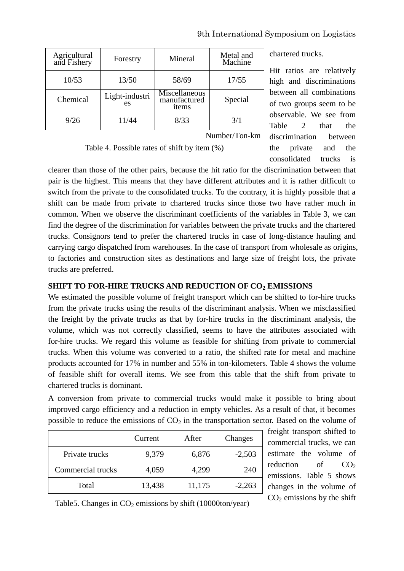| Agricultural<br>and Fishery | Forestry             | Mineral                                | Metal and<br>Machine |
|-----------------------------|----------------------|----------------------------------------|----------------------|
| 10/53                       | 13/50                | 58/69                                  | 17/55                |
| Chemical                    | Light-industri<br>es | Miscellaneous<br>manufactured<br>items | Special              |
| 9/26                        | 11/44                | 8/33                                   | 3/1                  |
| Number/Ton-km               |                      |                                        |                      |

chartered trucks.

Hit ratios are relatively high and discriminations between all combinations of two groups seem to be observable. We see from Table 2 that the discrimination between the private and the consolidated trucks is

Table 4. Possible rates of shift by item (%)

clearer than those of the other pairs, because the hit ratio for the discrimination between that pair is the highest. This means that they have different attributes and it is rather difficult to switch from the private to the consolidated trucks. To the contrary, it is highly possible that a shift can be made from private to chartered trucks since those two have rather much in common. When we observe the discriminant coefficients of the variables in Table 3, we can find the degree of the discrimination for variables between the private trucks and the chartered trucks. Consignors tend to prefer the chartered trucks in case of long-distance hauling and carrying cargo dispatched from warehouses. In the case of transport from wholesale as origins, to factories and construction sites as destinations and large size of freight lots, the private trucks are preferred.

# **SHIFT TO FOR-HIRE TRUCKS AND REDUCTION OF CO<sup>2</sup> EMISSIONS**

We estimated the possible volume of freight transport which can be shifted to for-hire trucks from the private trucks using the results of the discriminant analysis. When we misclassified the freight by the private trucks as that by for-hire trucks in the discriminant analysis, the volume, which was not correctly classified, seems to have the attributes associated with for-hire trucks. We regard this volume as feasible for shifting from private to commercial trucks. When this volume was converted to a ratio, the shifted rate for metal and machine products accounted for 17% in number and 55% in ton-kilometers. Table 4 shows the volume of feasible shift for overall items. We see from this table that the shift from private to chartered trucks is dominant.

A conversion from private to commercial trucks would make it possible to bring about improved cargo efficiency and a reduction in empty vehicles. As a result of that, it becomes possible to reduce the emissions of  $CO<sub>2</sub>$  in the transportation sector. Based on the volume of

|                   | Current | After  | Changes  |
|-------------------|---------|--------|----------|
| Private trucks    | 9,379   | 6,876  | $-2,503$ |
| Commercial trucks | 4,059   | 4,299  | 240      |
| Total             | 13,438  | 11,175 | $-2,263$ |

freight transport shifted to commercial trucks, we can estimate the volume of reduction of  $CO<sub>2</sub>$ emissions. Table 5 shows changes in the volume of  $CO<sub>2</sub>$  emissions by the shift

Table5. Changes in  $CO<sub>2</sub>$  emissions by shift (10000ton/year)